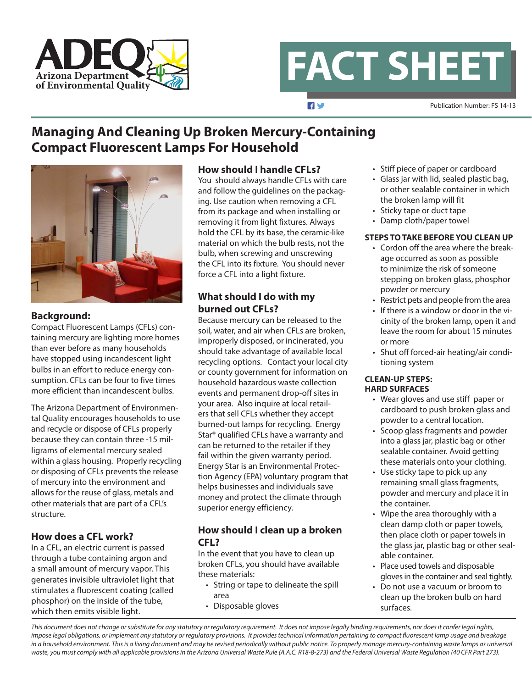

**FACT SHEET**

 $\blacksquare$ 

Publication Number: FS 14-13

# **Managing And Cleaning Up Broken Mercury-Containing Compact Fluorescent Lamps For Household**



### **Background:**

Compact Fluorescent Lamps (CFLs) containing mercury are lighting more homes than ever before as many households have stopped using incandescent light bulbs in an effort to reduce energy consumption. CFLs can be four to five times more efficient than incandescent bulbs.

The Arizona Department of Environmental Quality encourages households to use and recycle or dispose of CFLs properly because they can contain three -15 milligrams of elemental mercury sealed within a glass housing. Properly recycling or disposing of CFLs prevents the release of mercury into the environment and allows for the reuse of glass, metals and other materials that are part of a CFL's structure.

# **How does a CFL work?**

In a CFL, an electric current is passed through a tube containing argon and a small amount of mercury vapor. This generates invisible ultraviolet light that stimulates a fluorescent coating (called phosphor) on the inside of the tube, which then emits visible light.

### **How should I handle CFLs?**

You should always handle CFLs with care and follow the guidelines on the packaging. Use caution when removing a CFL from its package and when installing or removing it from light fixtures. Always hold the CFL by its base, the ceramic-like material on which the bulb rests, not the bulb, when screwing and unscrewing the CFL into its fixture. You should never force a CFL into a light fixture.

# **What should I do with my burned out CFLs?**

Because mercury can be released to the soil, water, and air when CFLs are broken, improperly disposed, or incinerated, you should take advantage of available local recycling options. Contact your local city or county government for information on household hazardous waste collection events and permanent drop-off sites in your area. Also inquire at local retailers that sell CFLs whether they accept burned-out lamps for recycling. Energy Star® qualified CFLs have a warranty and can be returned to the retailer if they fail within the given warranty period. Energy Star is an Environmental Protection Agency (EPA) voluntary program that helps businesses and individuals save money and protect the climate through superior energy efficiency.

### **How should I clean up a broken CFL?**

In the event that you have to clean up broken CFLs, you should have available these materials:

- String or tape to delineate the spill area
- Disposable gloves
- Stiff piece of paper or cardboard
- Glass jar with lid, sealed plastic bag, or other sealable container in which the broken lamp will fit
- Sticky tape or duct tape
- Damp cloth/paper towel

### **STEPS TO TAKE BEFORE YOU CLEAN UP**

- Cordon off the area where the breakage occurred as soon as possible to minimize the risk of someone stepping on broken glass, phosphor powder or mercury
- Restrict pets and people from the area
- If there is a window or door in the vicinity of the broken lamp, open it and leave the room for about 15 minutes or more
- Shut off forced-air heating/air conditioning system

#### **CLEAN-UP STEPS: HARD SURFACES**

- Wear gloves and use stiff paper or cardboard to push broken glass and powder to a central location.
- Scoop glass fragments and powder into a glass jar, plastic bag or other sealable container. Avoid getting these materials onto your clothing.
- Use sticky tape to pick up any remaining small glass fragments, powder and mercury and place it in the container.
- Wipe the area thoroughly with a clean damp cloth or paper towels, then place cloth or paper towels in the glass jar, plastic bag or other sealable container.
- Place used towels and disposable gloves in the container and seal tightly.
- Do not use a vacuum or broom to clean up the broken bulb on hard surfaces.

*This document does not change or substitute for any statutory or regulatory requirement. It does not impose legally binding requirements, nor does it confer legal rights, impose legal obligations, or implement any statutory or regulatory provisions. It provides technical information pertaining to compact fluorescent lamp usage and breakage*  in a household environment. This is a living document and may be revised periodically without public notice. To properly manage mercury-containing waste lamps as universal *waste, you must comply with all applicable provisions in the Arizona Universal Waste Rule (A.A.C. R18-8-273) and the Federal Universal Waste Regulation (40 CFR Part 273).*